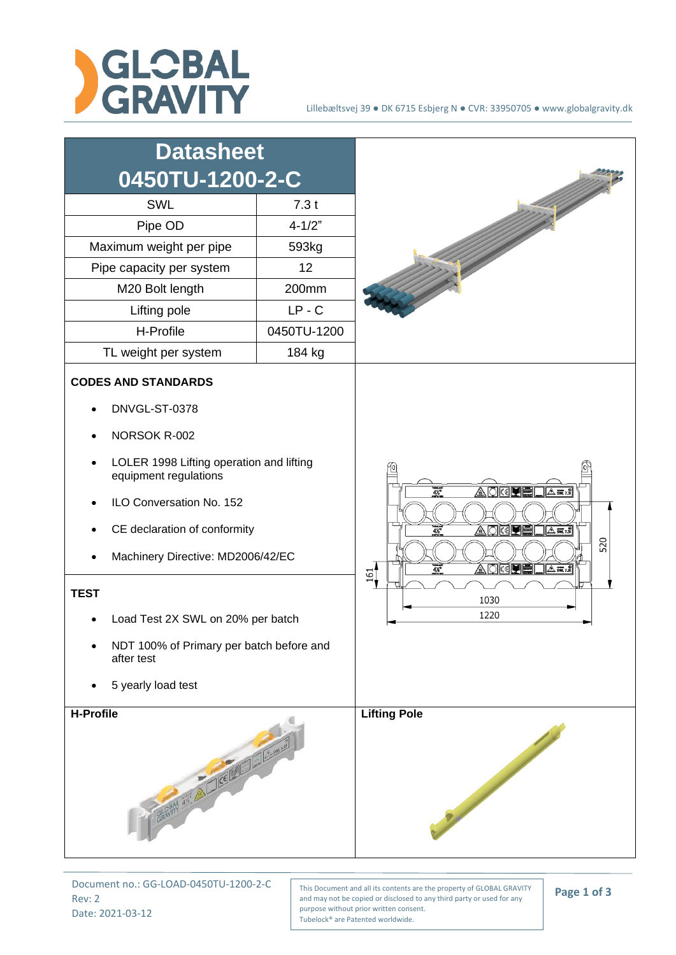



Document no.: GG-LOAD-0450TU-1200-2-C Rev: 2 Date: 2021-03-12

This Document and all its contents are the property of GLOBAL GRAVITY and may not be copied or disclosed to any third party or used for any purpose without prior written consent. Tubelock® are Patented worldwide.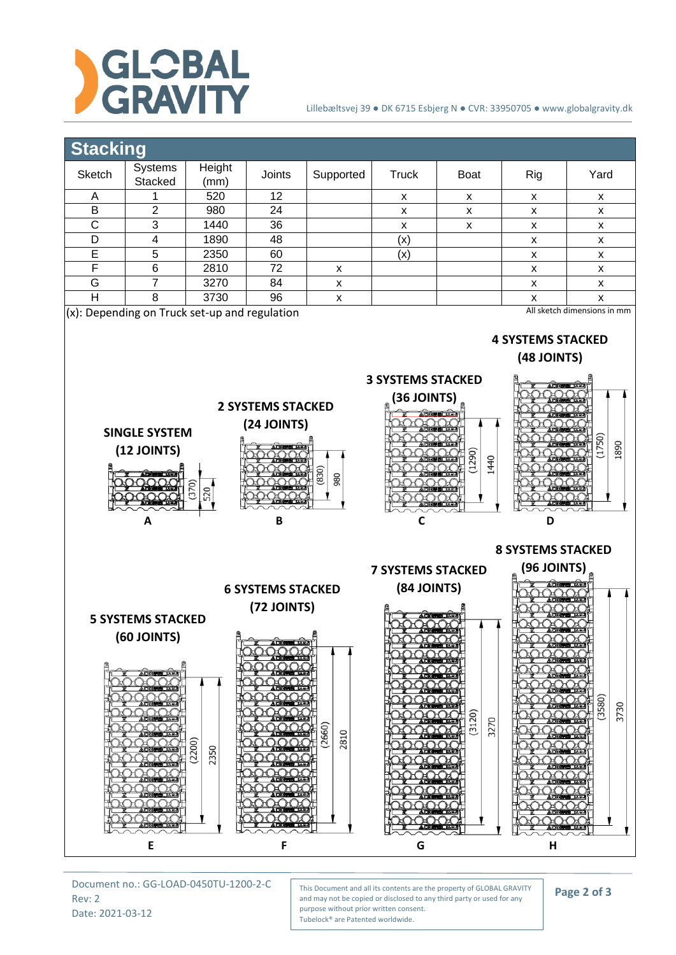

## Lillebæltsvej 39 ● DK 6715 Esbjerg N ● CVR: 33950705 ● www.globalgravity.dk



Document no.: GG-LOAD-0450TU-1200-2-C Rev: 2 Date: 2021-03-12

This Document and all its contents are the property of GLOBAL GRAVITY and may not be copied or disclosed to any third party or used for any purpose without prior written consent. Tubelock® are Patented worldwide.

**Page 2 of 3**